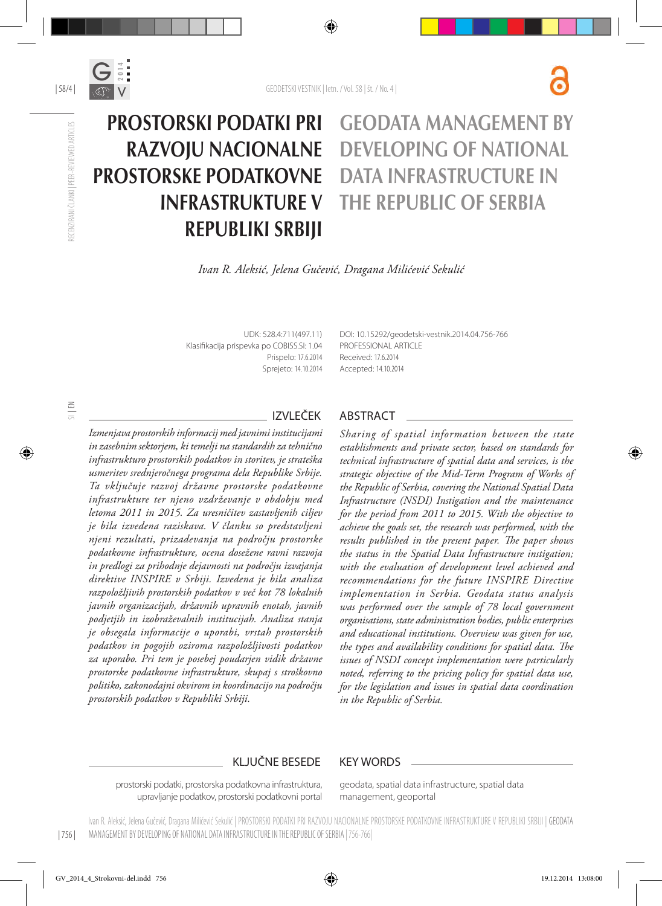

| 58/4 |

RECENZIRANI ČLANKI | PEER-REVIEWED ARTICLES

RECENZIRANI ČLANKI I PEER-REVIEWED ARTICLES

#### PROSTORSKI PODATKI PRI RAZVOJU NACIONALNE PROSTORSKE PODATKOVNE INFRASTRUKTURE V REPUBLIKI SRBIJI GEODATA MANAGEMENT BY DEVELOPING OF NATIONAL DATA INFRASTRUCTURE IN THE REPUBLIC OF SERBIA

*Ivan R. Aleksić, Jelena Gučević, Dragana Milićević Sekulić*

UDK: 528.4:711(497.11) Klasifikacija prispevka po COBISS.SI: 1.04 Prispelo: 17.6.2014 Sprejeto: 14.10.2014 DOI: 10.15292/geodetski-vestnik.2014.04.756-766 PROFESSIONAL ARTICLE Received: 17.6.2014 Accepted: 14.10.2014

*Izmenjava prostorskih informacij med javnimi institucijami in zasebnim sektorjem, ki temelji na standardih za tehnično infrastrukturo prostorskih podatkov in storitev, je strateška usmeritev srednjeročnega programa dela Republike Srbije. Ta vključuje razvoj državne prostorske podatkovne infrastrukture ter njeno vzdrževanje v obdobju med letoma 2011 in 2015. Za uresničitev zastavljenih ciljev je bila izvedena raziskava. V članku so predstavljeni njeni rezultati, prizadevanja na področju prostorske podatkovne infrastrukture, ocena dosežene ravni razvoja in predlogi za prihodnje dejavnosti na področju izvajanja direktive INSPIRE v Srbiji. Izvedena je bila analiza razpoložljivih prostorskih podatkov v več kot 78 lokalnih javnih organizacijah, državnih upravnih enotah, javnih podjetjih in izobraževalnih institucijah. Analiza stanja je obsegala informacije o uporabi, vrstah prostorskih podatkov in pogojih oziroma razpoložljivosti podatkov za uporabo. Pri tem je posebej poudarjen vidik državne prostorske podatkovne infrastrukture, skupaj s stroškovno politiko, zakonodajni okvirom in koordinacijo na področju prostorskih podatkov v Republiki Srbiji.*

#### IZVLEČEK ABSTRACT

*Sharing of spatial information between the state establishments and private sector, based on standards for technical infrastructure of spatial data and services, is the strategic objective of the Mid-Term Program of Works of the Republic of Serbia, covering the National Spatial Data Infrastructure (NSDI) Instigation and the maintenance for the period from 2011 to 2015. With the objective to achieve the goals set, the research was performed, with the results published in the present paper. The paper shows the status in the Spatial Data Infrastructure instigation; with the evaluation of development level achieved and recommendations for the future INSPIRE Directive implementation in Serbia. Geodata status analysis was performed over the sample of 78 local government organisations, state administration bodies, public enterprises and educational institutions. Overview was given for use, the types and availability conditions for spatial data. The issues of NSDI concept implementation were particularly noted, referring to the pricing policy for spatial data use, for the legislation and issues in spatial data coordination in the Republic of Serbia.*

#### KLJUČNE BESEDE KEY WORDS

prostorski podatki, prostorska podatkovna infrastruktura, upravljanje podatkov, prostorski podatkovni portal geodata, spatial data infrastructure, spatial data management, geoportal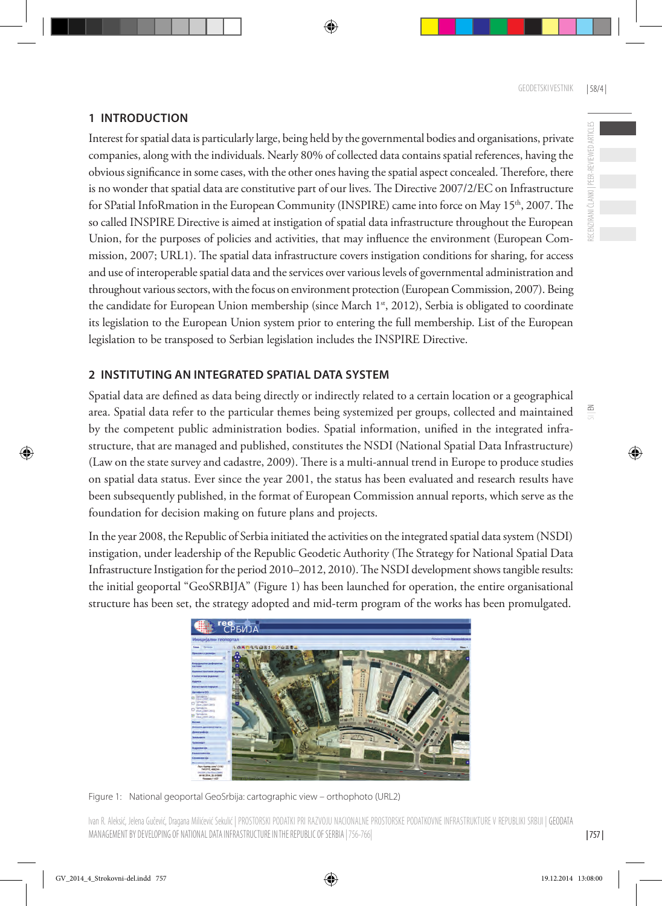# **1 INTRODUCTION**

Interest for spatial data is particularly large, being held by the governmental bodies and organisations, private companies, along with the individuals. Nearly 80% of collected data contains spatial references, having the obvious significance in some cases, with the other ones having the spatial aspect concealed. Therefore, there is no wonder that spatial data are constitutive part of our lives. The Directive 2007/2/EC on Infrastructure for SPatial InfoRmation in the European Community (INSPIRE) came into force on May 15th, 2007. The so called INSPIRE Directive is aimed at instigation of spatial data infrastructure throughout the European Union, for the purposes of policies and activities, that may influence the environment (European Commission, 2007; URL1). The spatial data infrastructure covers instigation conditions for sharing, for access and use of interoperable spatial data and the services over various levels of governmental administration and throughout various sectors, with the focus on environment protection (European Commission, 2007). Being the candidate for European Union membership (since March 1<sup>st</sup>, 2012), Serbia is obligated to coordinate its legislation to the European Union system prior to entering the full membership. List of the European legislation to be transposed to Serbian legislation includes the INSPIRE Directive.

# **2 INSTITUTING AN INTEGRATED SPATIAL DATA SYSTEM**

Spatial data are defined as data being directly or indirectly related to a certain location or a geographical area. Spatial data refer to the particular themes being systemized per groups, collected and maintained by the competent public administration bodies. Spatial information, unified in the integrated infrastructure, that are managed and published, constitutes the NSDI (National Spatial Data Infrastructure) (Law on the state survey and cadastre, 2009). There is a multi-annual trend in Europe to produce studies on spatial data status. Ever since the year 2001, the status has been evaluated and research results have been subsequently published, in the format of European Commission annual reports, which serve as the foundation for decision making on future plans and projects.

In the year 2008, the Republic of Serbia initiated the activities on the integrated spatial data system (NSDI) instigation, under leadership of the Republic Geodetic Authority (The Strategy for National Spatial Data Infrastructure Instigation for the period 2010–2012, 2010). The NSDI development shows tangible results: the initial geoportal "GeoSRBIJA" (Figure 1) has been launched for operation, the entire organisational structure has been set, the strategy adopted and mid-term program of the works has been promulgated.



Figure 1: National geoportal GeoSrbija: cartographic view – orthophoto (URL2)

 $\leq$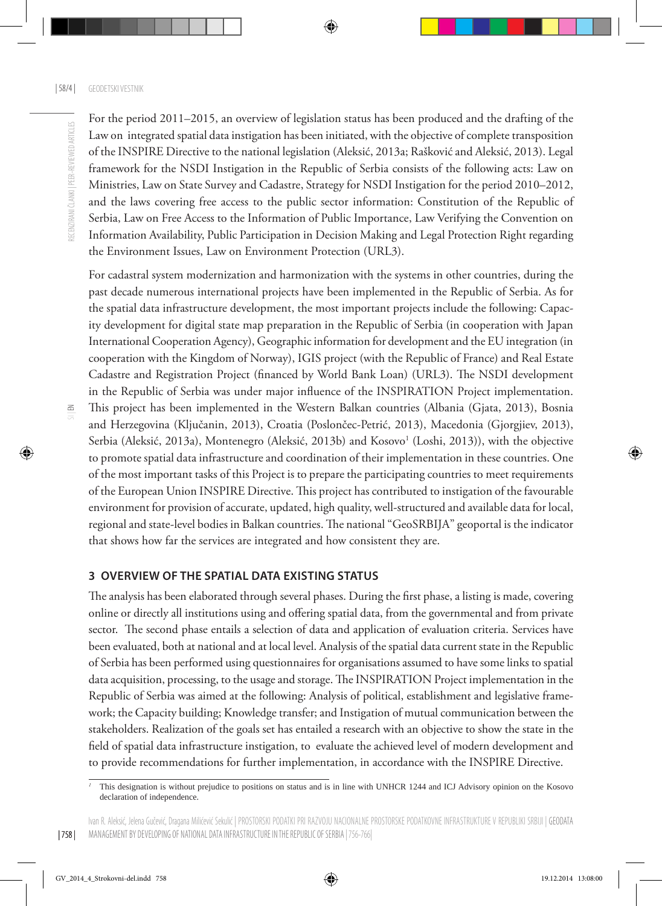For the period 2011–2015, an overview of legislation status has been produced and the drafting of the Law on integrated spatial data instigation has been initiated, with the objective of complete transposition of the INSPIRE Directive to the national legislation (Aleksić, 2013a; Rašković and Aleksić, 2013). Legal framework for the NSDI Instigation in the Republic of Serbia consists of the following acts: Law on Ministries, Law on State Survey and Cadastre, Strategy for NSDI Instigation for the period 2010–2012, and the laws covering free access to the public sector information: Constitution of the Republic of Serbia, Law on Free Access to the Information of Public Importance, Law Verifying the Convention on Information Availability, Public Participation in Decision Making and Legal Protection Right regarding the Environment Issues, Law on Environment Protection (URL3).

For cadastral system modernization and harmonization with the systems in other countries, during the past decade numerous international projects have been implemented in the Republic of Serbia. As for the spatial data infrastructure development, the most important projects include the following: Capacity development for digital state map preparation in the Republic of Serbia (in cooperation with Japan International Cooperation Agency), Geographic information for development and the EU integration (in cooperation with the Kingdom of Norway), IGIS project (with the Republic of France) and Real Estate Cadastre and Registration Project (financed by World Bank Loan) (URL3). The NSDI development in the Republic of Serbia was under major influence of the INSPIRATION Project implementation. This project has been implemented in the Western Balkan countries (Albania (Gjata, 2013), Bosnia and Herzegovina (Ključanin, 2013), Croatia (Poslončec-Petrić, 2013), Macedonia (Gjorgjiev, 2013), Serbia (Aleksić, 2013a), Montenegro (Aleksić, 2013b) and Kosovo<sup>1</sup> (Loshi, 2013)), with the objective to promote spatial data infrastructure and coordination of their implementation in these countries. One of the most important tasks of this Project is to prepare the participating countries to meet requirements of the European Union INSPIRE Directive. This project has contributed to instigation of the favourable environment for provision of accurate, updated, high quality, well-structured and available data for local, regional and state-level bodies in Balkan countries. The national "GeoSRBIJA" geoportal is the indicator that shows how far the services are integrated and how consistent they are.

#### **3 OVERVIEW OF THE SPATIAL DATA EXISTING STATUS**

The analysis has been elaborated through several phases. During the first phase, a listing is made, covering online or directly all institutions using and offering spatial data, from the governmental and from private sector. The second phase entails a selection of data and application of evaluation criteria. Services have been evaluated, both at national and at local level. Analysis of the spatial data current state in the Republic of Serbia has been performed using questionnaires for organisations assumed to have some links to spatial data acquisition, processing, to the usage and storage. The INSPIRATION Project implementation in the Republic of Serbia was aimed at the following: Analysis of political, establishment and legislative framework; the Capacity building; Knowledge transfer; and Instigation of mutual communication between the stakeholders. Realization of the goals set has entailed a research with an objective to show the state in the field of spatial data infrastructure instigation, to evaluate the achieved level of modern development and to provide recommendations for further implementation, in accordance with the INSPIRE Directive.

*<sup>1</sup>* This designation is without prejudice to positions on status and is in line with UNHCR 1244 and ICJ Advisory opinion on the Kosovo declaration of independence.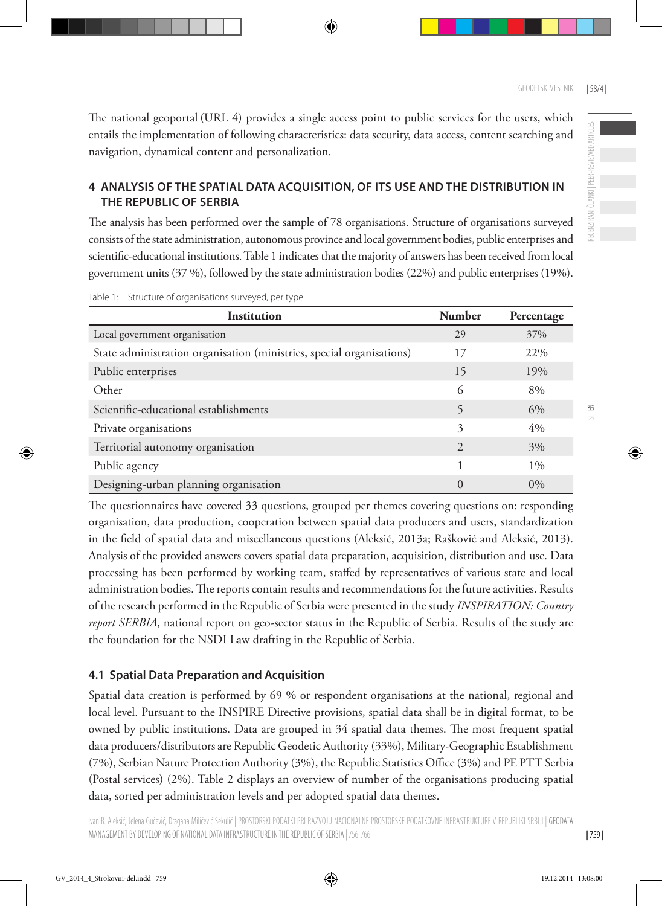$\leq$ 

The national geoportal (URL 4) provides a single access point to public services for the users, which entails the implementation of following characteristics: data security, data access, content searching and navigation, dynamical content and personalization.

## **4 ANALYSIS OF THE SPATIAL DATA ACQUISITION, OF ITS USE AND THE DISTRIBUTION IN THE REPUBLIC OF SERBIA**

The analysis has been performed over the sample of 78 organisations. Structure of organisations surveyed consists of the state administration, autonomous province and local government bodies, public enterprises and scientific-educational institutions. Table 1 indicates that the majority of answers has been received from local government units (37 %), followed by the state administration bodies (22%) and public enterprises (19%).

| Institution                                                           | <b>Number</b>               | Percentage |
|-----------------------------------------------------------------------|-----------------------------|------------|
| Local government organisation                                         | 29                          | 37%        |
| State administration organisation (ministries, special organisations) | 17                          | 22%        |
| Public enterprises                                                    | 15                          | 19%        |
| Other                                                                 | 6                           | 8%         |
| Scientific-educational establishments                                 | 5                           | 6%         |
| Private organisations                                                 | 3                           | 4%         |
| Territorial autonomy organisation                                     | $\mathcal{D}_{\mathcal{A}}$ | 3%         |
| Public agency                                                         |                             | $1\%$      |
| Designing-urban planning organisation                                 | $\Omega$                    | $0\%$      |

Table 1: Structure of organisations surveyed, per type

The questionnaires have covered 33 questions, grouped per themes covering questions on: responding organisation, data production, cooperation between spatial data producers and users, standardization in the field of spatial data and miscellaneous questions (Aleksić, 2013a; Rašković and Aleksić, 2013). Analysis of the provided answers covers spatial data preparation, acquisition, distribution and use. Data processing has been performed by working team, staffed by representatives of various state and local administration bodies. The reports contain results and recommendations for the future activities. Results of the research performed in the Republic of Serbia were presented in the study *INSPIRATION: Country report SERBIA*, national report on geo-sector status in the Republic of Serbia. Results of the study are the foundation for the NSDI Law drafting in the Republic of Serbia.

## **4.1 Spatial Data Preparation and Acquisition**

Spatial data creation is performed by 69 % or respondent organisations at the national, regional and local level. Pursuant to the INSPIRE Directive provisions, spatial data shall be in digital format, to be owned by public institutions. Data are grouped in 34 spatial data themes. The most frequent spatial data producers/distributors are Republic Geodetic Authority (33%), Military-Geographic Establishment (7%), Serbian Nature Protection Authority (3%), the Republic Statistics Office (3%) and PE PTT Serbia (Postal services) (2%). Table 2 displays an overview of number of the organisations producing spatial data, sorted per administration levels and per adopted spatial data themes.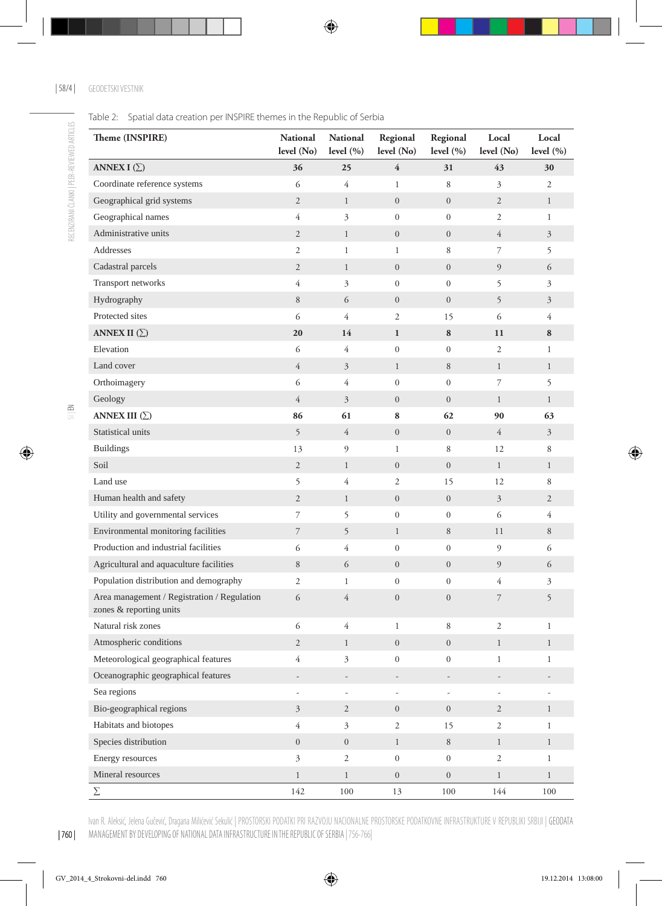Table 2: Spatial data creation per INSPIRE themes in the Republic of Serbia

| Theme (INSPIRE)                                                        | <b>National</b><br>level (No) | <b>National</b><br>level $(\% )$ | Regional<br>level (No) | Regional<br>level $(\% )$ | Local<br>level (No) | Local<br>level $(\% )$ |
|------------------------------------------------------------------------|-------------------------------|----------------------------------|------------------------|---------------------------|---------------------|------------------------|
| ANNEX I $(\Sigma)$                                                     | 36                            | 25                               | $\overline{4}$         | 31                        | 43                  | 30                     |
| Coordinate reference systems                                           | 6                             | $\overline{4}$                   | $\mathbf{1}$           | 8                         | 3                   | $\overline{2}$         |
| Geographical grid systems                                              | $\mathbf{2}$                  | $\mathbf{1}$                     | $\boldsymbol{0}$       | $\mathbf{0}$              | $\overline{2}$      | $\mathbf{1}$           |
| Geographical names                                                     | $\overline{4}$                | $\mathfrak{Z}$                   | $\boldsymbol{0}$       | $\mathbf{0}$              | $\overline{c}$      | $\mathbf{1}$           |
| Administrative units                                                   | $\sqrt{2}$                    | $\mathbf{1}$                     | $\mathbf{0}$           | $\mathbf{0}$              | $\overline{4}$      | $\mathfrak{Z}$         |
| Addresses                                                              | $\mathfrak{2}$                | $\mathbf{1}$                     | $\mathbf{1}$           | 8                         | 7                   | 5                      |
| Cadastral parcels                                                      | $\mathbf{2}$                  | $\mathbf{1}$                     | $\mathbf{0}$           | $\mathbf{0}$              | 9                   | 6                      |
| Transport networks                                                     | $\overline{4}$                | 3                                | $\boldsymbol{0}$       | $\mathbf{0}$              | 5                   | 3                      |
| Hydrography                                                            | 8                             | 6                                | $\mathbf{0}$           | $\mathbf{0}$              | 5                   | $\mathfrak{Z}$         |
| Protected sites                                                        | 6                             | $\overline{4}$                   | 2                      | 15                        | 6                   | 4                      |
| ANNEX II $(\Sigma)$                                                    | 20                            | 14                               | $\mathbf{1}$           | 8                         | 11                  | 8                      |
| Elevation                                                              | 6                             | 4                                | $\boldsymbol{0}$       | $\mathbf{0}$              | 2                   | 1                      |
| Land cover                                                             | $\overline{4}$                | $\mathfrak{Z}$                   | $\mathbf{1}$           | 8                         | $\mathbf{1}$        | $\mathbf{1}$           |
| Orthoimagery                                                           | 6                             | $\overline{4}$                   | $\boldsymbol{0}$       | $\boldsymbol{0}$          | 7                   | 5                      |
| Geology                                                                | $\overline{4}$                | $\mathfrak{Z}$                   | $\mathbf{0}$           | $\mathbf{0}$              | $\mathbf{1}$        | $\mathbf{1}$           |
| ANNEX III $(\Sigma)$                                                   | 86                            | 61                               | 8                      | 62                        | 90                  | 63                     |
| Statistical units                                                      | 5                             | $\overline{4}$                   | $\boldsymbol{0}$       | $\mathbf{0}$              | 4                   | $\mathfrak{Z}$         |
| <b>Buildings</b>                                                       | 13                            | 9                                | $\mathbf{1}$           | 8                         | 12                  | 8                      |
| Soil                                                                   | $\mathfrak{2}$                | $\mathbf{1}$                     | $\overline{0}$         | $\mathbf{0}$              | $\mathbf{1}$        | $\mathbf{1}$           |
| Land use                                                               | 5                             | 4                                | 2                      | 15                        | 12                  | 8                      |
| Human health and safety                                                | $\sqrt{2}$                    | $\mathbf{1}$                     | $\boldsymbol{0}$       | $\mathbf{0}$              | 3                   | $\overline{c}$         |
| Utility and governmental services                                      | 7                             | 5                                | $\boldsymbol{0}$       | $\mathbf{0}$              | 6                   | $\overline{4}$         |
| Environmental monitoring facilities                                    | $\overline{7}$                | 5                                | $\mathbf{1}$           | 8                         | 11                  | 8                      |
| Production and industrial facilities                                   | 6                             | $\overline{4}$                   | $\mathbf{0}$           | $\boldsymbol{0}$          | 9                   | 6                      |
| Agricultural and aquaculture facilities                                | 8                             | 6                                | $\mathbf{0}$           | $\mathbf{0}$              | 9                   | 6                      |
| Population distribution and demography                                 | $\mathfrak{2}$                | $\mathbf{1}$                     | $\boldsymbol{0}$       | $\boldsymbol{0}$          | 4                   | 3                      |
| Area management / Registration / Regulation<br>zones & reporting units | 6                             | $\overline{4}$                   | $\boldsymbol{0}$       | $\boldsymbol{0}$          | 7                   | 5                      |
| Natural risk zones                                                     | 6                             | $\overline{4}$                   | $\mathbf{1}$           | 8                         | 2                   | $\mathbf{1}$           |
| Atmospheric conditions                                                 | $\mathbf{2}$                  | $\mathbf{1}$                     | $\boldsymbol{0}$       | $\boldsymbol{0}$          | $\mathbf{1}$        | $\mathbf{1}$           |
| Meteorological geographical features                                   | $\overline{4}$                | 3                                | $\boldsymbol{0}$       | $\boldsymbol{0}$          | 1                   | 1                      |
| Oceanographic geographical features                                    |                               |                                  |                        |                           |                     |                        |
| Sea regions                                                            |                               |                                  |                        |                           |                     |                        |
| Bio-geographical regions                                               | $\overline{3}$                | $\overline{2}$                   | $\overline{0}$         | $\overline{0}$            | $\overline{2}$      | $\mathbf{1}$           |
| Habitats and biotopes                                                  | $\overline{4}$                | $\mathfrak{Z}$                   | $\overline{c}$         | 15                        | $\overline{c}$      | $\mathbf{1}$           |
| Species distribution                                                   | $\boldsymbol{0}$              | $\overline{0}$                   | $\mathbf{1}$           | 8                         | $\mathbf{1}$        | $\mathbf{1}$           |
| Energy resources                                                       | $\mathfrak{Z}$                | $\overline{c}$                   | $\boldsymbol{0}$       | $\overline{0}$            | $\overline{c}$      | $\mathbf{1}$           |
| Mineral resources                                                      | $\mathbf{1}$                  | $\mathbf{1}$                     | $\overline{0}$         | $\overline{0}$            | $\mathbf{1}$        | $\mathbf{1}$           |
| Σ                                                                      | 142                           | $100\,$                          | 13                     | 100                       | 144                 | 100                    |

Ivan R. Aleksić, Jelena Gučević, Dragana Milićević Sekulić | PROSTORSKI PODATKI PRI RAZVOJU NACIONALNE PROSTORSKE PODATKOVNE INFRASTRUKTURE V REPUBLIKI SRBIJI | GEODATA MANAGEMENT BY DEVELOPING OF NATIONAL DATA INFRASTRUCTURE IN THE REPUBLIC OF SERBIA | 756-766|

| 760 |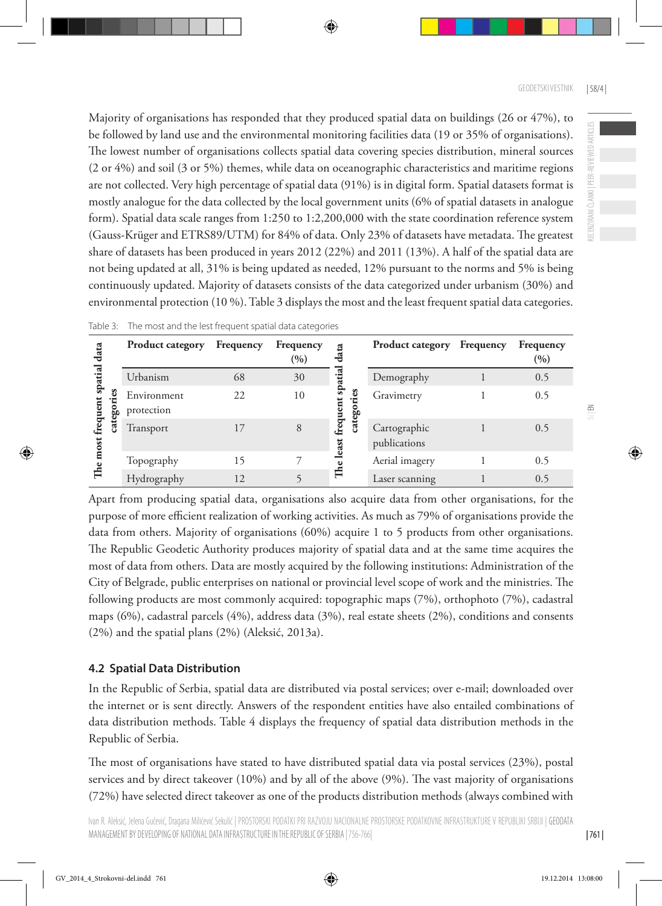Majority of organisations has responded that they produced spatial data on buildings (26 or 47%), to be followed by land use and the environmental monitoring facilities data (19 or 35% of organisations). The lowest number of organisations collects spatial data covering species distribution, mineral sources (2 or 4%) and soil (3 or 5%) themes, while data on oceanographic characteristics and maritime regions are not collected. Very high percentage of spatial data (91%) is in digital form. Spatial datasets format is mostly analogue for the data collected by the local government units (6% of spatial datasets in analogue form). Spatial data scale ranges from 1:250 to 1:2,200,000 with the state coordination reference system (Gauss-Krüger and ETRS89/UTM) for 84% of data. Only 23% of datasets have metadata. The greatest share of datasets has been produced in years 2012 (22%) and 2011 (13%). A half of the spatial data are not being updated at all, 31% is being updated as needed, 12% pursuant to the norms and 5% is being continuously updated. Majority of datasets consists of the data categorized under urbanism (30%) and environmental protection (10 %). Table 3 displays the most and the least frequent spatial data categories.

|                   |     | <b>Product category</b>   | Frequency | Frequency<br>$(\% )$ | ata                      | <b>Product category</b> Frequency | Frequency<br>$(\% )$ |
|-------------------|-----|---------------------------|-----------|----------------------|--------------------------|-----------------------------------|----------------------|
|                   |     | Urbanism                  | 68        | 30                   | spatial                  | Demography                        | 0.5                  |
| 5<br>equen<br>cat | ခွေ | Environment<br>protection | 22        | 10                   | ω<br>ent                 | Gravimetry                        | 0.5                  |
|                   |     | Transport                 | 17        | 8                    | catego<br>freque<br>east | Cartographic<br>publications      | 0.5                  |
|                   |     | Topography                | 15        |                      |                          | Aerial imagery                    | 0.5                  |
|                   |     | Hydrography               | 12        |                      | $\mathbb{H}^e$           | Laser scanning                    | 0.5                  |

Table 3: The most and the lest frequent spatial data categories

Apart from producing spatial data, organisations also acquire data from other organisations, for the purpose of more efficient realization of working activities. As much as 79% of organisations provide the data from others. Majority of organisations (60%) acquire 1 to 5 products from other organisations. The Republic Geodetic Authority produces majority of spatial data and at the same time acquires the most of data from others. Data are mostly acquired by the following institutions: Administration of the City of Belgrade, public enterprises on national or provincial level scope of work and the ministries. The following products are most commonly acquired: topographic maps (7%), orthophoto (7%), cadastral maps (6%), cadastral parcels (4%), address data (3%), real estate sheets (2%), conditions and consents (2%) and the spatial plans (2%) (Aleksić, 2013a).

## **4.2 Spatial Data Distribution**

In the Republic of Serbia, spatial data are distributed via postal services; over e-mail; downloaded over the internet or is sent directly. Answers of the respondent entities have also entailed combinations of data distribution methods. Table 4 displays the frequency of spatial data distribution methods in the Republic of Serbia.

The most of organisations have stated to have distributed spatial data via postal services (23%), postal services and by direct takeover (10%) and by all of the above (9%). The vast majority of organisations (72%) have selected direct takeover as one of the products distribution methods (always combined with RECENZIRANI ČLANKI | PEER-REVIEWED ARTICLES

RECENZIRANI ČLANKI | PEER-REVIEWED ARTICLES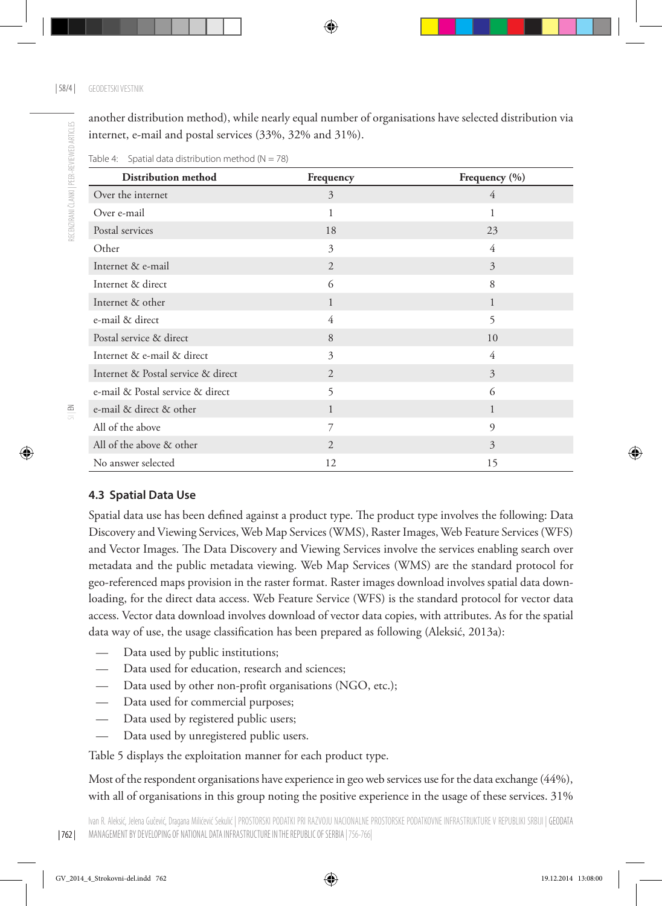another distribution method), while nearly equal number of organisations have selected distribution via internet, e-mail and postal services (33%, 32% and 31%).

| Distribution method                | Frequency      | Frequency (%)  |
|------------------------------------|----------------|----------------|
| Over the internet                  | 3              | 4              |
| Over e-mail                        | $\mathbf{1}$   | 1              |
| Postal services                    | 18             | 23             |
| Other                              | 3              | 4              |
| Internet & e-mail                  | $\overline{2}$ | $\overline{3}$ |
| Internet & direct                  | 6              | 8              |
| Internet & other                   | 1              | $\mathbf{1}$   |
| e-mail & direct                    | 4              | 5              |
| Postal service & direct            | 8              | 10             |
| Internet & e-mail & direct         | 3              | 4              |
| Internet & Postal service & direct | $\overline{2}$ | $\overline{3}$ |
| e-mail & Postal service & direct   | 5              | 6              |
| e-mail & direct & other            | 1              | $\mathbf{1}$   |
| All of the above                   | 7              | $\mathfrak{g}$ |
| All of the above & other           | 2              | 3              |
| No answer selected                 | 12             | 15             |

Table 4: Spatial data distribution method  $(N = 78)$ 

#### **4.3 Spatial Data Use**

Spatial data use has been defined against a product type. The product type involves the following: Data Discovery and Viewing Services, Web Map Services (WMS), Raster Images, Web Feature Services (WFS) and Vector Images. The Data Discovery and Viewing Services involve the services enabling search over metadata and the public metadata viewing. Web Map Services (WMS) are the standard protocol for geo-referenced maps provision in the raster format. Raster images download involves spatial data downloading, for the direct data access. Web Feature Service (WFS) is the standard protocol for vector data access. Vector data download involves download of vector data copies, with attributes. As for the spatial data way of use, the usage classification has been prepared as following (Aleksić, 2013a):

- Data used by public institutions;
- Data used for education, research and sciences;
- Data used by other non-profit organisations (NGO, etc.);
- Data used for commercial purposes;
- Data used by registered public users;
- Data used by unregistered public users.

Table 5 displays the exploitation manner for each product type.

Most of the respondent organisations have experience in geo web services use for the data exchange (44%), with all of organisations in this group noting the positive experience in the usage of these services. 31%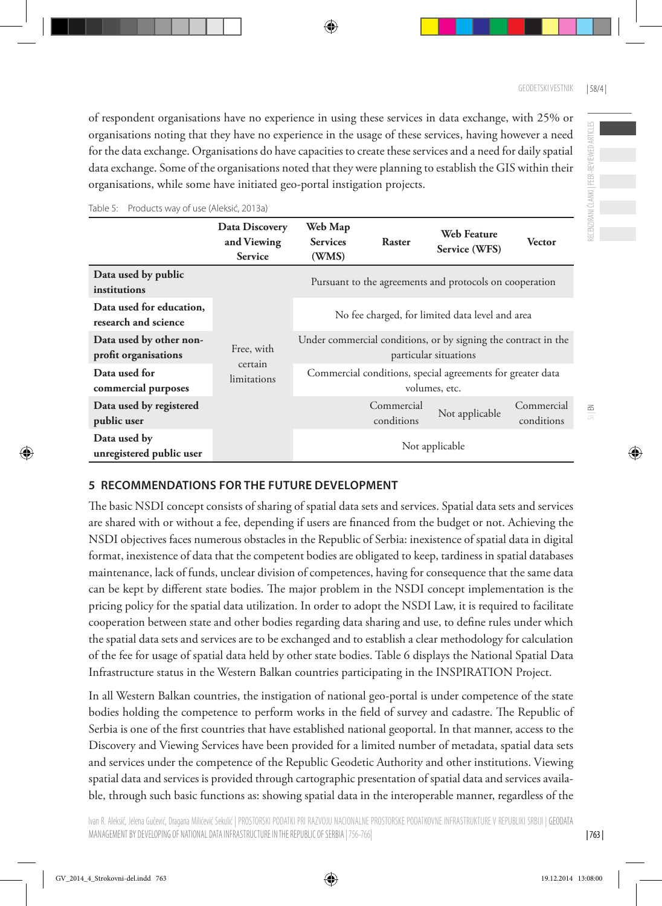of respondent organisations have no experience in using these services in data exchange, with 25% or organisations noting that they have no experience in the usage of these services, having however a need for the data exchange. Organisations do have capacities to create these services and a need for daily spatial data exchange. Some of the organisations noted that they were planning to establish the GIS within their organisations, while some have initiated geo-portal instigation projects.

|                                                  | Data Discovery<br>and Viewing<br><b>Service</b> | Web Map<br><b>Services</b><br>(WMS)                                                     | Raster                   | Web Feature<br>Service (WFS)                                                | <b>Vector</b>            |  |
|--------------------------------------------------|-------------------------------------------------|-----------------------------------------------------------------------------------------|--------------------------|-----------------------------------------------------------------------------|--------------------------|--|
| Data used by public<br>institutions              |                                                 |                                                                                         |                          | Pursuant to the agreements and protocols on cooperation                     |                          |  |
| Data used for education,<br>research and science |                                                 | No fee charged, for limited data level and area                                         |                          |                                                                             |                          |  |
| Data used by other non-<br>profit organisations  | Free, with                                      | Under commercial conditions, or by signing the contract in the<br>particular situations |                          |                                                                             |                          |  |
| Data used for<br>commercial purposes             | certain<br>limitations                          |                                                                                         |                          | Commercial conditions, special agreements for greater data<br>volumes, etc. |                          |  |
| Data used by registered<br>public user           |                                                 |                                                                                         | Commercial<br>conditions | Not applicable                                                              | Commercial<br>conditions |  |
| Data used by<br>unregistered public user         |                                                 | Not applicable                                                                          |                          |                                                                             |                          |  |

Table 5: Products way of use (Aleksić, 2013a)

#### **5 RECOMMENDATIONS FOR THE FUTURE DEVELOPMENT**

The basic NSDI concept consists of sharing of spatial data sets and services. Spatial data sets and services are shared with or without a fee, depending if users are financed from the budget or not. Achieving the NSDI objectives faces numerous obstacles in the Republic of Serbia: inexistence of spatial data in digital format, inexistence of data that the competent bodies are obligated to keep, tardiness in spatial databases maintenance, lack of funds, unclear division of competences, having for consequence that the same data can be kept by different state bodies. The major problem in the NSDI concept implementation is the pricing policy for the spatial data utilization. In order to adopt the NSDI Law, it is required to facilitate cooperation between state and other bodies regarding data sharing and use, to define rules under which the spatial data sets and services are to be exchanged and to establish a clear methodology for calculation of the fee for usage of spatial data held by other state bodies. Table 6 displays the National Spatial Data Infrastructure status in the Western Balkan countries participating in the INSPIRATION Project.

In all Western Balkan countries, the instigation of national geo-portal is under competence of the state bodies holding the competence to perform works in the field of survey and cadastre. The Republic of Serbia is one of the first countries that have established national geoportal. In that manner, access to the Discovery and Viewing Services have been provided for a limited number of metadata, spatial data sets and services under the competence of the Republic Geodetic Authority and other institutions. Viewing spatial data and services is provided through cartographic presentation of spatial data and services available, through such basic functions as: showing spatial data in the interoperable manner, regardless of the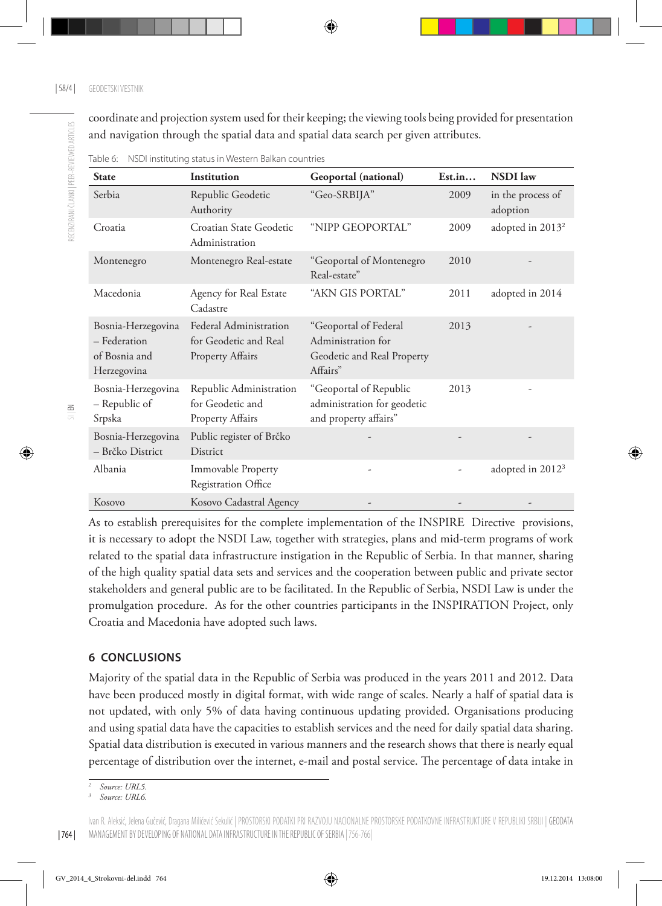RECENZIRANI ČLANKI | PEER-REVIEWED ARTICLES

RECENZIRANI ČLANKI I PEER-REVIEWED ARTICIES

coordinate and projection system used for their keeping; the viewing tools being provided for presentation and navigation through the spatial data and spatial data search per given attributes.

| <b>State</b>                                                       | Institution                                                            | Geoportal (national)                                                                  | Est.in | <b>NSDI</b> law               |
|--------------------------------------------------------------------|------------------------------------------------------------------------|---------------------------------------------------------------------------------------|--------|-------------------------------|
| Serbia                                                             | Republic Geodetic<br>Authority                                         | "Geo-SRBIJA"                                                                          | 2009   | in the process of<br>adoption |
| Croatia                                                            | Croatian State Geodetic<br>Administration                              | "NIPP GEOPORTAL"                                                                      | 2009   | adopted in 2013 <sup>2</sup>  |
| Montenegro                                                         | Montenegro Real-estate                                                 | "Geoportal of Montenegro<br>Real-estate"                                              | 2010   |                               |
| Macedonia                                                          | Agency for Real Estate<br>Cadastre                                     | "AKN GIS PORTAL"                                                                      | 2011   | adopted in 2014               |
| Bosnia-Herzegovina<br>- Federation<br>of Bosnia and<br>Herzegovina | Federal Administration<br>for Geodetic and Real<br>Property Affairs    | "Geoportal of Federal<br>Administration for<br>Geodetic and Real Property<br>Affairs" | 2013   |                               |
| Bosnia-Herzegovina<br>- Republic of<br>Srpska                      | Republic Administration<br>for Geodetic and<br><b>Property Affairs</b> | "Geoportal of Republic<br>administration for geodetic<br>and property affairs"        | 2013   |                               |
| Bosnia-Herzegovina<br>- Brčko District                             | Public register of Brčko<br>District                                   |                                                                                       |        |                               |
| Albania                                                            | Immovable Property<br>Registration Office                              |                                                                                       |        | adopted in 2012 <sup>3</sup>  |
| Kosovo                                                             | Kosovo Cadastral Agency                                                |                                                                                       |        |                               |

Table 6: NSDI instituting status in Western Balkan countries

As to establish prerequisites for the complete implementation of the INSPIRE Directive provisions, it is necessary to adopt the NSDI Law, together with strategies, plans and mid-term programs of work related to the spatial data infrastructure instigation in the Republic of Serbia. In that manner, sharing of the high quality spatial data sets and services and the cooperation between public and private sector stakeholders and general public are to be facilitated. In the Republic of Serbia, NSDI Law is under the promulgation procedure. As for the other countries participants in the INSPIRATION Project, only Croatia and Macedonia have adopted such laws.

#### **6 CONCLUSIONS**

Majority of the spatial data in the Republic of Serbia was produced in the years 2011 and 2012. Data have been produced mostly in digital format, with wide range of scales. Nearly a half of spatial data is not updated, with only 5% of data having continuous updating provided. Organisations producing and using spatial data have the capacities to establish services and the need for daily spatial data sharing. Spatial data distribution is executed in various manners and the research shows that there is nearly equal percentage of distribution over the internet, e-mail and postal service. The percentage of data intake in

*<sup>2</sup> Source: URL5.*

*<sup>3</sup> Source: URL6.*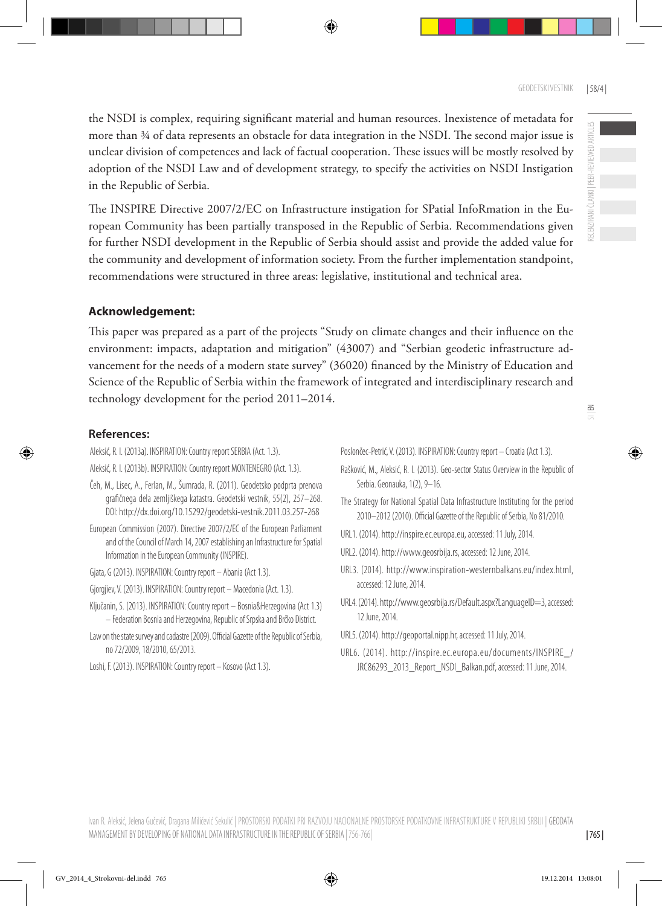the NSDI is complex, requiring significant material and human resources. Inexistence of metadata for more than ¾ of data represents an obstacle for data integration in the NSDI. The second major issue is unclear division of competences and lack of factual cooperation. These issues will be mostly resolved by adoption of the NSDI Law and of development strategy, to specify the activities on NSDI Instigation in the Republic of Serbia.

The INSPIRE Directive 2007/2/EC on Infrastructure instigation for SPatial InfoRmation in the European Community has been partially transposed in the Republic of Serbia. Recommendations given for further NSDI development in the Republic of Serbia should assist and provide the added value for the community and development of information society. From the further implementation standpoint, recommendations were structured in three areas: legislative, institutional and technical area.

# **Acknowledgement:**

This paper was prepared as a part of the projects "Study on climate changes and their influence on the environment: impacts, adaptation and mitigation" (43007) and "Serbian geodetic infrastructure advancement for the needs of a modern state survey" (36020) financed by the Ministry of Education and Science of the Republic of Serbia within the framework of integrated and interdisciplinary research and technology development for the period 2011–2014.

### **References:**

Aleksić, R. I. (2013a). INSPIRATION: Country report SERBIA (Act. 1.3).

- Aleksić, R. I. (2013b). INSPIRATION: Country report MONTENEGRO (Act. 1.3).
- Čeh, M., Lisec, A., Ferlan, M., Šumrada, R. (2011). Geodetsko podprta prenova grafičnega dela zemljiškega katastra. Geodetski vestnik, 55(2), 257–268. DOI: <http://dx.doi.org/10.15292/geodetski-vestnik.2011.03.257-268>
- European Commission (2007). Directive 2007/2/EC of the European Parliament and of the Council of March 14, 2007 establishing an Infrastructure for Spatial Information in the European Community (INSPIRE).
- Gjata, G (2013). INSPIRATION: Country report Abania (Act 1.3).
- Gjorgjiev, V. (2013). INSPIRATION: Country report Macedonia (Act. 1.3).
- Ključanin, S. (2013). INSPIRATION: Country report Bosnia&Herzegovina (Act 1.3) – Federation Bosnia and Herzegovina, Republic of Srpska and Brčko District.
- Law on the state survey and cadastre (2009). Official Gazette of the Republic of Serbia, no 72/2009, 18/2010, 65/2013.
- Loshi, F. (2013). INSPIRATION: Country report Kosovo (Act 1.3).

Poslončec-Petrić, V. (2013). INSPIRATION: Country report – Croatia (Act 1.3).

- Rašković, M., Aleksić, R. I. (2013). Geo-sector Status Overview in the Republic of Serbia. Geonauka, 1(2), 9–16.
- The Strategy for National Spatial Data Infrastructure Instituting for the period 2010–2012 (2010). Official Gazette of the Republic of Serbia, No 81/2010.
- URL1. (2014). [http://inspire.ec.europa.eu,](http://inspire.ec.europa.eu) accessed: 11 July, 2014.
- URL2. (2014). http:/[/www.geosrbija.rs](http://www.geosrbija.rs), accessed: 12 June, 2014.
- URL3. (2014). [http://www.inspiration-westernbalkans.eu/index.html,](http://www.inspiration-westernbalkans.eu/index.html) accessed: 12 June, 2014.
- URL4. (2014). [http://www.geosrbija.rs/Default.aspx?LanguageID=3,](http://www.geosrbija.rs/Default.aspx?LanguageID=3) accessed: 12 June, 2014.
- URL5. (2014). [http://geoportal.nipp.hr,](http://geoportal.nipp.hr/) accessed: 11 July, 2014.
- URL6. (2014). [http://inspire.ec.europa.eu/documents/INSPIRE\\_/](http://inspire.ec.europa.eu/documents/INSPIRE_/JRC86293_2013_Report_NSDI_Balkan.pdf) [JRC86293\\_2013\\_Report\\_NSDI\\_Balkan.pdf](http://inspire.ec.europa.eu/documents/INSPIRE_/JRC86293_2013_Report_NSDI_Balkan.pdf), accessed: 11 June, 2014.